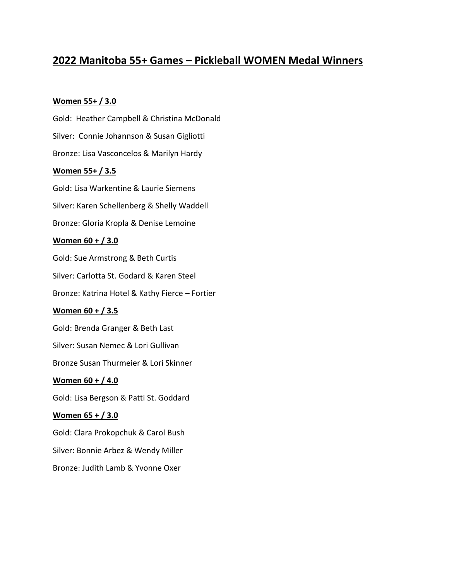# **2022 Manitoba 55+ Games – Pickleball WOMEN Medal Winners**

### **Women 55+ / 3.0**

Gold: Heather Campbell & Christina McDonald Silver: Connie Johannson & Susan Gigliotti Bronze: Lisa Vasconcelos & Marilyn Hardy **Women 55+ / 3.5** Gold: Lisa Warkentine & Laurie Siemens Silver: Karen Schellenberg & Shelly Waddell Bronze: Gloria Kropla & Denise Lemoine **Women 60 + / 3.0** Gold: Sue Armstrong & Beth Curtis Silver: Carlotta St. Godard & Karen Steel Bronze: Katrina Hotel & Kathy Fierce – Fortier **Women 60 + / 3.5** Gold: Brenda Granger & Beth Last Silver: Susan Nemec & Lori Gullivan Bronze Susan Thurmeier & Lori Skinner **Women 60 + / 4.0** Gold: Lisa Bergson & Patti St. Goddard **Women 65 + / 3.0** Gold: Clara Prokopchuk & Carol Bush Silver: Bonnie Arbez & Wendy Miller Bronze: Judith Lamb & Yvonne Oxer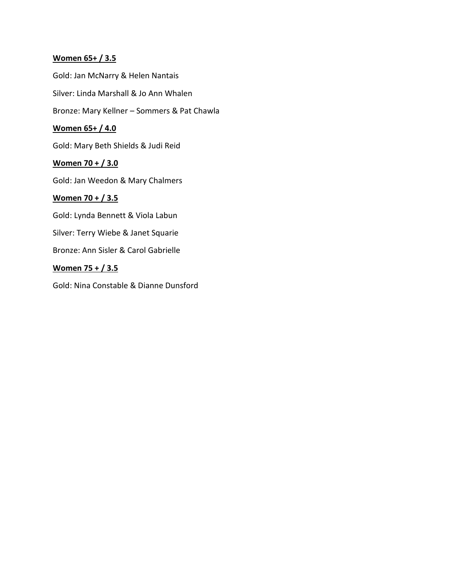# **Women 65+ / 3.5**

Gold: Jan McNarry & Helen Nantais

Silver: Linda Marshall & Jo Ann Whalen

Bronze: Mary Kellner – Sommers & Pat Chawla

# **Women 65+ / 4.0**

Gold: Mary Beth Shields & Judi Reid

# **Women 70 + / 3.0**

Gold: Jan Weedon & Mary Chalmers

# **Women 70 + / 3.5**

Gold: Lynda Bennett & Viola Labun

Silver: Terry Wiebe & Janet Squarie

Bronze: Ann Sisler & Carol Gabrielle

# **Women 75 + / 3.5**

Gold: Nina Constable & Dianne Dunsford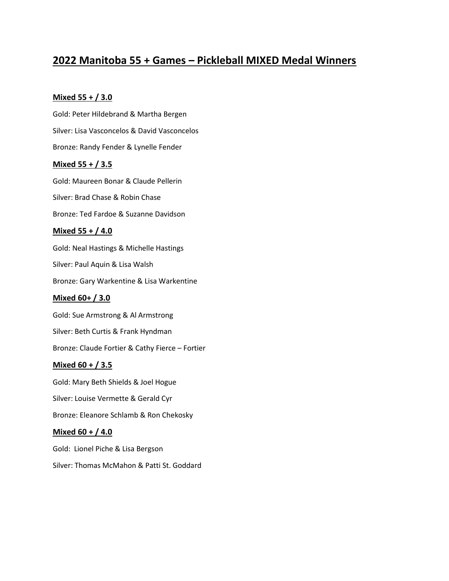# **2022 Manitoba 55 + Games – Pickleball MIXED Medal Winners**

### **Mixed 55 + / 3.0**

Gold: Peter Hildebrand & Martha Bergen Silver: Lisa Vasconcelos & David Vasconcelos Bronze: Randy Fender & Lynelle Fender **Mixed 55 + / 3.5** Gold: Maureen Bonar & Claude Pellerin Silver: Brad Chase & Robin Chase Bronze: Ted Fardoe & Suzanne Davidson **Mixed 55 + / 4.0** Gold: Neal Hastings & Michelle Hastings Silver: Paul Aquin & Lisa Walsh Bronze: Gary Warkentine & Lisa Warkentine **Mixed 60+ / 3.0** Gold: Sue Armstrong & Al Armstrong Silver: Beth Curtis & Frank Hyndman Bronze: Claude Fortier & Cathy Fierce – Fortier **Mixed 60 + / 3.5** Gold: Mary Beth Shields & Joel Hogue Silver: Louise Vermette & Gerald Cyr Bronze: Eleanore Schlamb & Ron Chekosky **Mixed 60 + / 4.0** Gold: Lionel Piche & Lisa Bergson

Silver: Thomas McMahon & Patti St. Goddard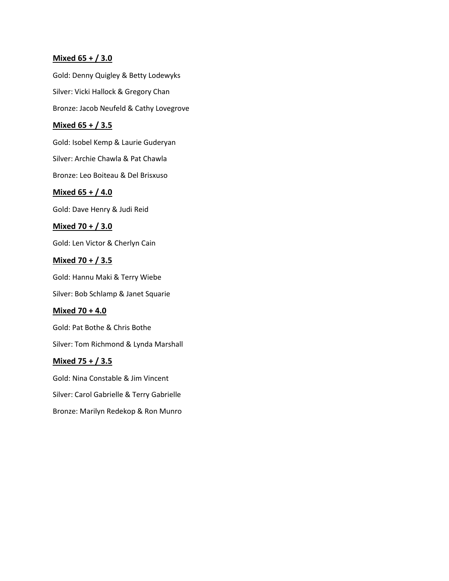### **Mixed 65 + / 3.0**

Gold: Denny Quigley & Betty Lodewyks Silver: Vicki Hallock & Gregory Chan Bronze: Jacob Neufeld & Cathy Lovegrove

### **Mixed 65 + / 3.5**

Gold: Isobel Kemp & Laurie Guderyan Silver: Archie Chawla & Pat Chawla

Bronze: Leo Boiteau & Del Brisxuso

### **Mixed 65 + / 4.0**

Gold: Dave Henry & Judi Reid

### **Mixed 70 + / 3.0**

Gold: Len Victor & Cherlyn Cain

### **Mixed 70 + / 3.5**

Gold: Hannu Maki & Terry Wiebe

Silver: Bob Schlamp & Janet Squarie

### **Mixed 70 + 4.0**

Gold: Pat Bothe & Chris Bothe

Silver: Tom Richmond & Lynda Marshall

### **Mixed 75 + / 3.5**

Gold: Nina Constable & Jim Vincent Silver: Carol Gabrielle & Terry Gabrielle Bronze: Marilyn Redekop & Ron Munro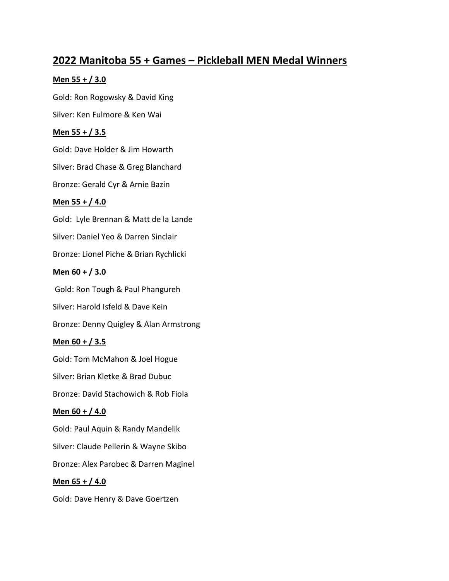# **2022 Manitoba 55 + Games – Pickleball MEN Medal Winners**

### **Men 55 + / 3.0**

Gold: Ron Rogowsky & David King Silver: Ken Fulmore & Ken Wai

# **Men 55 + / 3.5**

Gold: Dave Holder & Jim Howarth

Silver: Brad Chase & Greg Blanchard

Bronze: Gerald Cyr & Arnie Bazin

# **Men 55 + / 4.0**

Gold: Lyle Brennan & Matt de la Lande Silver: Daniel Yeo & Darren Sinclair Bronze: Lionel Piche & Brian Rychlicki

# **Men 60 + / 3.0**

Gold: Ron Tough & Paul Phangureh Silver: Harold Isfeld & Dave Kein Bronze: Denny Quigley & Alan Armstrong

# **Men 60 + / 3.5**

Gold: Tom McMahon & Joel Hogue Silver: Brian Kletke & Brad Dubuc Bronze: David Stachowich & Rob Fiola

# **Men 60 + / 4.0**

Gold: Paul Aquin & Randy Mandelik Silver: Claude Pellerin & Wayne Skibo Bronze: Alex Parobec & Darren Maginel **Men 65 + / 4.0**

Gold: Dave Henry & Dave Goertzen